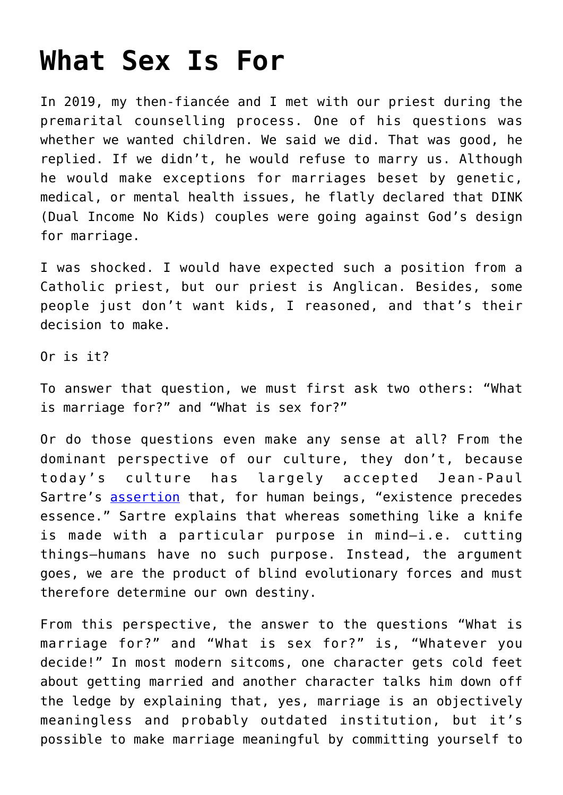## **[What Sex Is For](https://intellectualtakeout.org/2021/03/what-sex-is-for/)**

In 2019, my then-fiancée and I met with our priest during the premarital counselling process. One of his questions was whether we wanted children. We said we did. That was good, he replied. If we didn't, he would refuse to marry us. Although he would make exceptions for marriages beset by genetic, medical, or mental health issues, he flatly declared that DINK (Dual Income No Kids) couples were going against God's design for marriage.

I was shocked. I would have expected such a position from a Catholic priest, but our priest is Anglican. Besides, some people just don't want kids, I reasoned, and that's their decision to make.

Or is it?

To answer that question, we must first ask two others: "What is marriage for?" and "What is sex for?"

Or do those questions even make any sense at all? From the dominant perspective of our culture, they don't, because today's culture has largely accepted Jean-Paul Sartre's [assertion](https://warwick.ac.uk/fac/cross_fac/complexity/people/students/dtc/students2011/maitland/philosophy/sartre-eih.pdf) that, for human beings, "existence precedes essence." Sartre explains that whereas something like a knife is made with a particular purpose in mind—i.e. cutting things—humans have no such purpose. Instead, the argument goes, we are the product of blind evolutionary forces and must therefore determine our own destiny.

From this perspective, the answer to the questions "What is marriage for?" and "What is sex for?" is, "Whatever you decide!" In most modern sitcoms, one character gets cold feet about getting married and another character talks him down off the ledge by explaining that, yes, marriage is an objectively meaningless and probably outdated institution, but it's possible to make marriage meaningful by committing yourself to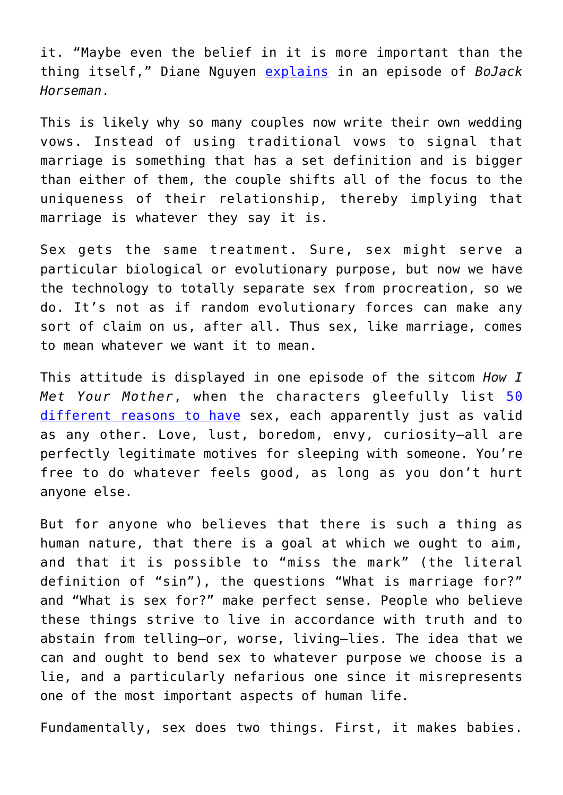it. "Maybe even the belief in it is more important than the thing itself," Diane Nguyen [explains](https://www.youtube.com/watch?v=84qRY8cRKmk) in an episode of *BoJack Horseman*.

This is likely why so many couples now write their own wedding vows. Instead of using traditional vows to signal that marriage is something that has a set definition and is bigger than either of them, the couple shifts all of the focus to the uniqueness of their relationship, thereby implying that marriage is whatever they say it is.

Sex gets the same treatment. Sure, sex might serve a particular biological or evolutionary purpose, but now we have the technology to totally separate sex from procreation, so we do. It's not as if random evolutionary forces can make any sort of claim on us, after all. Thus sex, like marriage, comes to mean whatever we want it to mean.

This attitude is displayed in one episode of the sitcom *How I Met Your Mother*, when the characters gleefully list [50](https://how-i-met-your-mother.fandom.com/wiki/The_Naked_Man) [different reasons to have](https://how-i-met-your-mother.fandom.com/wiki/The_Naked_Man) sex, each apparently just as valid as any other. Love, lust, boredom, envy, curiosity—all are perfectly legitimate motives for sleeping with someone. You're free to do whatever feels good, as long as you don't hurt anyone else.

But for anyone who believes that there is such a thing as human nature, that there is a goal at which we ought to aim, and that it is possible to "miss the mark" (the literal definition of "sin"), the questions "What is marriage for?" and "What is sex for?" make perfect sense. People who believe these things strive to live in accordance with truth and to abstain from telling—or, worse, living—lies. The idea that we can and ought to bend sex to whatever purpose we choose is a lie, and a particularly nefarious one since it misrepresents one of the most important aspects of human life.

Fundamentally, sex does two things. First, it makes babies.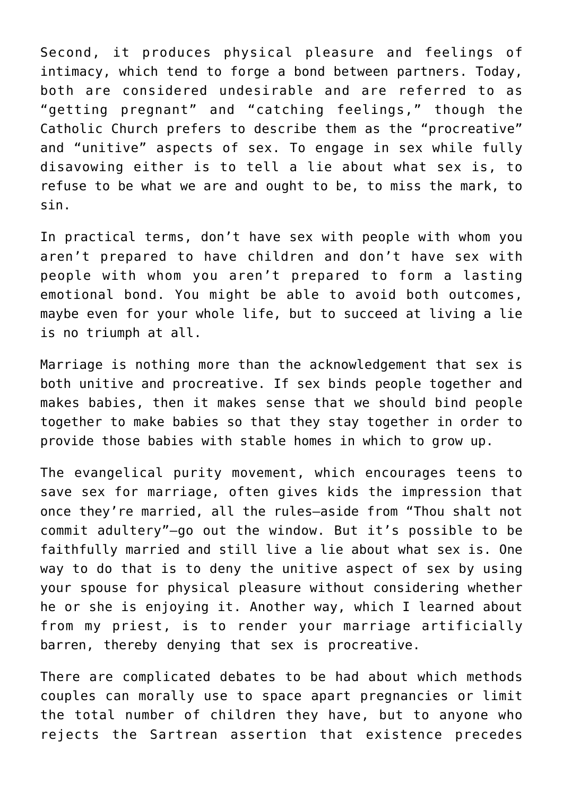Second, it produces physical pleasure and feelings of intimacy, which tend to forge a bond between partners. Today, both are considered undesirable and are referred to as "getting pregnant" and "catching feelings," though the Catholic Church prefers to describe them as the "procreative" and "unitive" aspects of sex. To engage in sex while fully disavowing either is to tell a lie about what sex is, to refuse to be what we are and ought to be, to miss the mark, to sin.

In practical terms, don't have sex with people with whom you aren't prepared to have children and don't have sex with people with whom you aren't prepared to form a lasting emotional bond. You might be able to avoid both outcomes, maybe even for your whole life, but to succeed at living a lie is no triumph at all.

Marriage is nothing more than the acknowledgement that sex is both unitive and procreative. If sex binds people together and makes babies, then it makes sense that we should bind people together to make babies so that they stay together in order to provide those babies with stable homes in which to grow up.

The evangelical purity movement, which encourages teens to save sex for marriage, often gives kids the impression that once they're married, all the rules—aside from "Thou shalt not commit adultery"—go out the window. But it's possible to be faithfully married and still live a lie about what sex is. One way to do that is to deny the unitive aspect of sex by using your spouse for physical pleasure without considering whether he or she is enjoying it. Another way, which I learned about from my priest, is to render your marriage artificially barren, thereby denying that sex is procreative.

There are complicated debates to be had about which methods couples can morally use to space apart pregnancies or limit the total number of children they have, but to anyone who rejects the Sartrean assertion that existence precedes